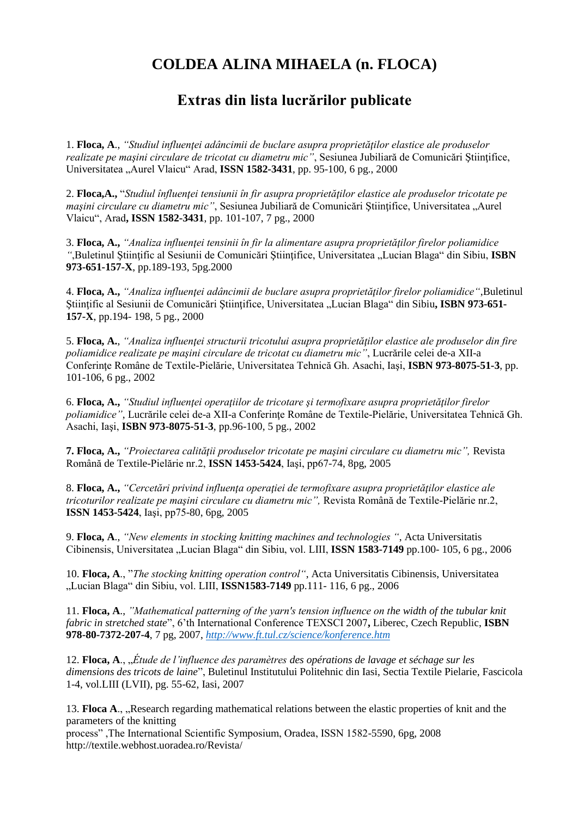## **COLDEA ALINA MIHAELA (n. FLOCA)**

## **Extras din lista lucrărilor publicate**

1. **Floca, A**., *"Studiul influenţei adâncimii de buclare asupra proprietăţilor elastice ale produselor realizate pe maşini circulare de tricotat cu diametru mic"*, Sesiunea Jubiliară de Comunicări Ştiinţifice, Universitatea "Aurel Vlaicu" Arad, **ISSN 1582-3431**, pp. 95-100, 6 pg., 2000

2. **Floca,A.,** "*Studiul înfluenţei tensiunii în fir asupra proprietăţilor elastice ale produselor tricotate pe maşini circulare cu diametru mic"*, Sesiunea Jubiliară de Comunicări Ştiinţifice, Universitatea "Aurel Vlaicu", Arad**, ISSN 1582-3431**, pp. 101-107, 7 pg., 2000

3. **Floca, A.,** *"Analiza influenţei tensinii în fir la alimentare asupra proprietăţilor firelor poliamidice "*,Buletinul Ştiinţific al Sesiunii de Comunicări Ştiinţifice, Universitatea "Lucian Blaga" din Sibiu, **ISBN 973-651-157-X**, pp.189-193, 5pg.2000

4. **Floca, A.,** *"Analiza influenţei adâncimii de buclare asupra proprietăţilor firelor poliamidice"*,Buletinul Ştiinţific al Sesiunii de Comunicări Ştiinţifice, Universitatea "Lucian Blaga" din Sibiu**, ISBN 973-651- 157-X**, pp.194- 198, 5 pg., 2000

5. **Floca, A.**, *"Analiza influenţei structurii tricotului asupra proprietăţilor elastice ale produselor din fire poliamidice realizate pe maşini circulare de tricotat cu diametru mic"*, Lucrările celei de-a XII-a Conferinţe Române de Textile-Pielărie, Universitatea Tehnică Gh. Asachi, Iaşi, **ISBN 973-8075-51-3**, pp. 101-106, 6 pg., 2002

6. **Floca, A.,** *"Studiul influenţei operaţiilor de tricotare şi termofixare asupra proprietăţilor firelor poliamidice"*, Lucrările celei de-a XII-a Conferinţe Române de Textile-Pielărie, Universitatea Tehnică Gh. Asachi, Iaşi, **ISBN 973-8075-51-3**, pp.96-100, 5 pg., 2002

**7. Floca, A.,** *"Proiectarea calităţii produselor tricotate pe maşini circulare cu diametru mic",* Revista Română de Textile-Pielărie nr.2, **ISSN 1453-5424**, Iaşi, pp67-74, 8pg, 2005

8. **Floca, A.,** *"Cercetări privind influenţa operaţiei de termofixare asupra proprietăţilor elastice ale tricoturilor realizate pe maşini circulare cu diametru mic",* Revista Română de Textile-Pielărie nr.2, **ISSN 1453-5424**, Iaşi, pp75-80, 6pg, 2005

9. **Floca, A**., *"New elements in stocking knitting machines and technologies "*, Acta Universitatis Cibinensis, Universitatea "Lucian Blaga" din Sibiu, vol. LIII, **ISSN 1583-7149** pp.100- 105, 6 pg., 2006

10. **Floca, A**., "*The stocking knitting operation control"*, Acta Universitatis Cibinensis, Universitatea "Lucian Blaga" din Sibiu, vol. LIII, **ISSN1583-7149** pp.111- 116, 6 pg., 2006

11. **Floca, A**., *"Mathematical patterning of the yarn's tension influence on the width of the tubular knit fabric in stretched state*", 6'th International Conference TEXSCI 2007**,** Liberec, Czech Republic, **ISBN 978-80-7372-207-4**, 7 pg, 2007, *<http://www.ft.tul.cz/science/konference.htm>*

12. **Floca, A.**, "*Étude de l'influence des paramètres des opérations de lavage et séchage sur les dimensions des tricots de laine*", Buletinul Institutului Politehnic din Iasi, Sectia Textile Pielarie, Fascicola 1-4, vol.LIII (LVII), pg. 55-62, Iasi, 2007

13. **Floca A., "Research regarding mathematical relations between the elastic properties of knit and the** parameters of the knitting

process" ,The International Scientific Symposium, Oradea, ISSN 1582-5590, 6pg, 2008 http://textile.webhost.uoradea.ro/Revista/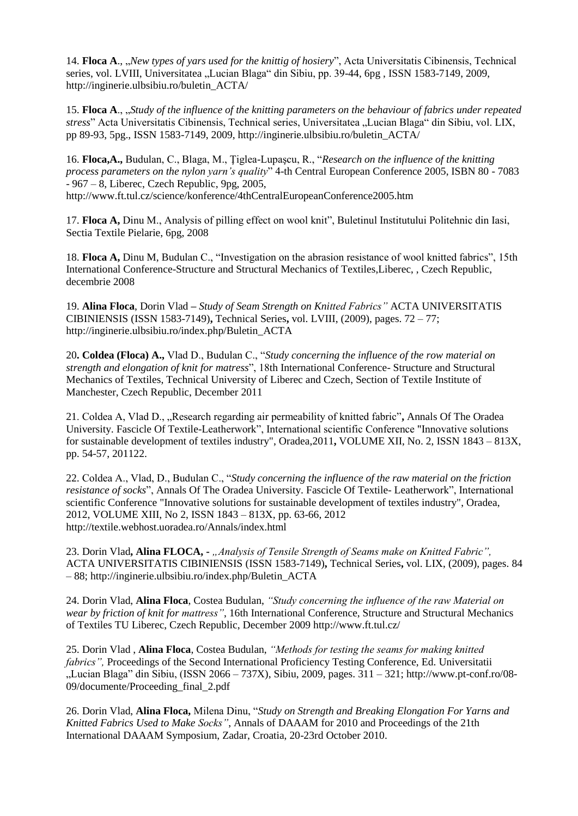14. **Floca A.**, "*New types of yars used for the knittig of hosiery*", Acta Universitatis Cibinensis, Technical series, vol. LVIII, Universitatea "Lucian Blaga" din Sibiu, pp. 39-44, 6pg, ISSN 1583-7149, 2009, http://inginerie.ulbsibiu.ro/buletin\_ACTA/

15. **Floca A**., "*Study of the influence of the knitting parameters on the behaviour of fabrics under repeated stress*" Acta Universitatis Cibinensis, Technical series, Universitatea "Lucian Blaga" din Sibiu, vol. LIX, pp 89-93, 5pg., ISSN 1583-7149, 2009, http://inginerie.ulbsibiu.ro/buletin\_ACTA/

16. **Floca,A.,** Budulan, C., Blaga, M., Ţiglea-Lupaşcu, R., "*Research on the influence of the knitting process parameters on the nylon yarn's quality*" 4-th Central European Conference 2005, ISBN 80 - 7083 - 967 – 8, Liberec, Czech Republic, 9pg, 2005, http://www.ft.tul.cz/science/konference/4thCentralEuropeanConference2005.htm

17. **Floca A,** Dinu M., Analysis of pilling effect on wool knit", Buletinul Institutului Politehnic din Iasi, Sectia Textile Pielarie, 6pg, 2008

18. **Floca A,** Dinu M, Budulan C., "Investigation on the abrasion resistance of wool knitted fabrics", 15th International Conference-Structure and Structural Mechanics of Textiles,Liberec, , Czech Republic, decembrie 2008

19. **Alina Floca**, Dorin Vlad **–** *Study of Seam Strength on Knitted Fabrics"* ACTA UNIVERSITATIS CIBINIENSIS (ISSN 1583-7149)**,** Technical Series**,** vol. LVIII, (2009), pages. 72 – 77; http://inginerie.ulbsibiu.ro/index.php/Buletin\_ACTA

20**. Coldea (Floca) A.,** Vlad D., Budulan C., "*Study concerning the influence of the row material on strength and elongation of knit for matress*", 18th International Conference- Structure and Structural Mechanics of Textiles, Technical University of Liberec and Czech, Section of Textile Institute of Manchester, Czech Republic, December 2011

21. Coldea A, Vlad D., "Research regarding air permeability of knitted fabric"**,** Annals Of The Oradea University. Fascicle Of Textile-Leatherwork", International scientific Conference "Innovative solutions for sustainable development of textiles industry", Oradea,2011**,** VOLUME XII, No. 2, ISSN 1843 – 813X, pp. 54-57, 201122.

22. Coldea A., Vlad, D., Budulan C., "*Study concerning the influence of the raw material on the friction resistance of socks*", Annals Of The Oradea University. Fascicle Of Textile- Leatherwork", International scientific Conference "Innovative solutions for sustainable development of textiles industry", Oradea, 2012, VOLUME XIII, No 2, ISSN 1843 – 813X, pp. 63-66, 2012 http://textile.webhost.uoradea.ro/Annals/index.html

23. Dorin Vlad**, Alina FLOCA, -** *"Analysis of Tensile Strength of Seams make on Knitted Fabric",*  ACTA UNIVERSITATIS CIBINIENSIS (ISSN 1583-7149)**,** Technical Series**,** vol. LIX, (2009), pages. 84 – 88; http://inginerie.ulbsibiu.ro/index.php/Buletin\_ACTA

24. Dorin Vlad, **Alina Floca**, Costea Budulan, *"Study concerning the influence of the raw Material on wear by friction of knit for mattress"*, 16th International Conference, Structure and Structural Mechanics of Textiles TU Liberec, Czech Republic, December 2009 http://www.ft.tul.cz/

25. Dorin Vlad , **Alina Floca**, Costea Budulan, *"Methods for testing the seams for making knitted fabrics",* Proceedings of the Second International Proficiency Testing Conference, Ed. Universitatii "Lucian Blaga" din Sibiu, (ISSN 2066 – 737X), Sibiu, 2009, pages. 311 – 321; http://www.pt-conf.ro/08- 09/documente/Proceeding\_final\_2.pdf

26. Dorin Vlad, **Alina Floca,** Milena Dinu, "*Study on Strength and Breaking Elongation For Yarns and Knitted Fabrics Used to Make Socks"*, Annals of DAAAM for 2010 and Proceedings of the 21th International DAAAM Symposium, Zadar, Croatia, 20-23rd October 2010.